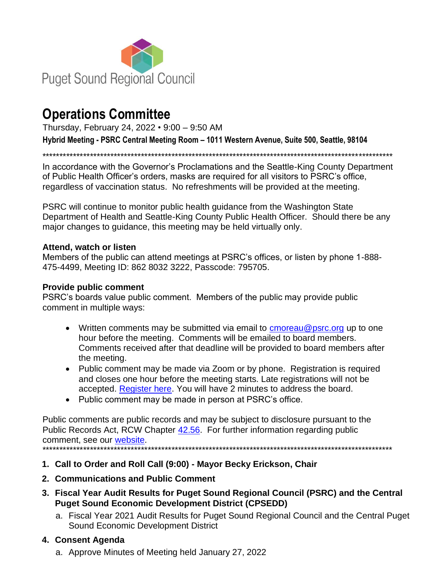

# **Operations Committee**

Thursday, February 24, 2022 • 9:00 – 9:50 AM

**Hybrid Meeting - PSRC Central Meeting Room – 1011 Western Avenue, Suite 500, Seattle, 98104**

\*\*\*\*\*\*\*\*\*\*\*\*\*\*\*\*\*\*\*\*\*\*\*\*\*\*\*\*\*\*\*\*\*\*\*\*\*\*\*\*\*\*\*\*\*\*\*\*\*\*\*\*\*\*\*\*\*\*\*\*\*\*\*\*\*\*\*\*\*\*\*\*\*\*\*\*\*\*\*\*\*\*\*\*\*\*\*\*\*\*\*\*\*\*\*\*\*\*\*\*\*\*\*

In accordance with the Governor's Proclamations and the Seattle-King County Department of Public Health Officer's orders, masks are required for all visitors to PSRC's office, regardless of vaccination status. No refreshments will be provided at the meeting.

PSRC will continue to monitor public health guidance from the Washington State Department of Health and Seattle-King County Public Health Officer. Should there be any major changes to guidance, this meeting may be held virtually only.

#### **Attend, watch or listen**

Members of the public can attend meetings at PSRC's offices, or listen by phone 1-888- 475-4499, Meeting ID: 862 8032 3222, Passcode: 795705.

#### **Provide public comment**

PSRC's boards value public comment. Members of the public may provide public comment in multiple ways:

- Written comments may be submitted via email to  $cm$  reau @psrc.org up to one hour before the meeting. Comments will be emailed to board members. Comments received after that deadline will be provided to board members after the meeting.
- Public comment may be made via Zoom or by phone. Registration is required and closes one hour before the meeting starts. Late registrations will not be accepted. [Register here.](https://forms.office.com/Pages/ResponsePage.aspx?id=oZwuWURGfkGyLxyzXVdNrQeHte0rHLFCk9e1DWiW-TBUM1dTRVAwQTg1TFRKQUIwTjJYR0JXUzNIUyQlQCN0PWcu) You will have 2 minutes to address the board.
- Public comment may be made in person at PSRC's office.

Public comments are public records and may be subject to disclosure pursuant to the Public Records Act, RCW Chapter [42.56.](https://apps.leg.wa.gov/rcw/default.aspx?cite=42.56) For further information regarding public comment, see our [website.](https://www.psrc.org/covid-19) \*\*\*\*\*\*\*\*\*\*\*\*\*\*\*\*\*\*\*\*\*\*\*\*\*\*\*\*\*\*\*\*\*\*\*\*\*\*\*\*\*\*\*\*\*\*\*\*\*\*\*\*\*\*\*\*\*\*\*\*\*\*\*\*\*\*\*\*\*\*\*\*\*\*\*\*\*\*\*\*\*\*\*\*\*\*\*\*\*\*\*\*\*\*\*\*\*\*\*\*\*\*\*

**1. Call to Order and Roll Call (9:00) - Mayor Becky Erickson, Chair**

- **2. Communications and Public Comment**
- **3. Fiscal Year Audit Results for Puget Sound Regional Council (PSRC) and the Central Puget Sound Economic Development District (CPSEDD)**
	- a. Fiscal Year 2021 Audit Results for Puget Sound Regional Council and the Central Puget Sound Economic Development District

## **4. Consent Agenda**

a. Approve Minutes of Meeting held January 27, 2022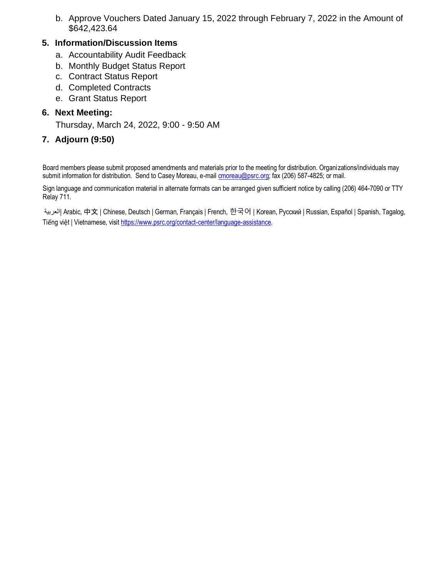b. Approve Vouchers Dated January 15, 2022 through February 7, 2022 in the Amount of \$642,423.64

#### **5. Information/Discussion Items**

- a. Accountability Audit Feedback
- b. Monthly Budget Status Report
- c. Contract Status Report
- d. Completed Contracts
- e. Grant Status Report

#### **6. Next Meeting:**

Thursday, March 24, 2022, 9:00 - 9:50 AM

## **7. Adjourn (9:50)**

Board members please submit proposed amendments and materials prior to the meeting for distribution. Organizations/individuals may submit information for distribution. Send to Casey Moreau, e-mai[l cmoreau@psrc.org;](mailto:cmoreau@psrc.org) fax (206) 587-4825; or mail.

Sign language and communication material in alternate formats can be arranged given sufficient notice by calling (206) 464-7090 or TTY Relay 711.

العربية | Arabic, 中文 | Chinese, Deutsch | German, Français | French, 한국어 | Коrean, Русский | Russian, Español | Spanish, Tagalog, Tiếng việt | Vietnamese, visit [https://www.psrc.org/contact-center/language-assistance.](https://www.psrc.org/contact-center/language-assistance)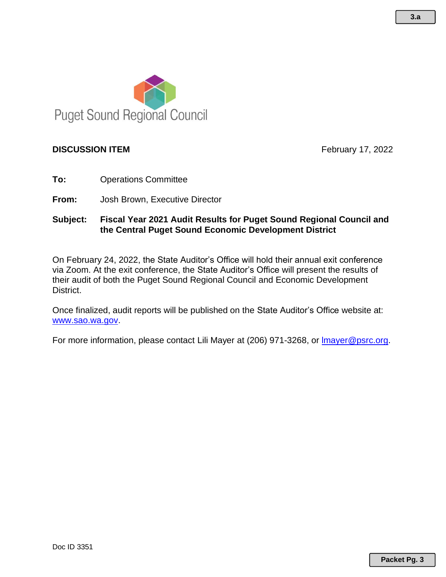

#### **DISCUSSION ITEM Example 2022** February 17, 2022

- **To:** Operations Committee
- **From:** Josh Brown, Executive Director

### **Subject: Fiscal Year 2021 Audit Results for Puget Sound Regional Council and the Central Puget Sound Economic Development District**

On February 24, 2022, the State Auditor's Office will hold their annual exit conference via Zoom. At the exit conference, the State Auditor's Office will present the results of their audit of both the Puget Sound Regional Council and Economic Development District.

Once finalized, audit reports will be published on the State Auditor's Office website at: [www.sao.wa.gov.](http://www.sao.wa.gov/)

For more information, please contact Lili Mayer at (206) 971-3268, or [lmayer@psrc.org.](mailto:lmayer@psrc.org)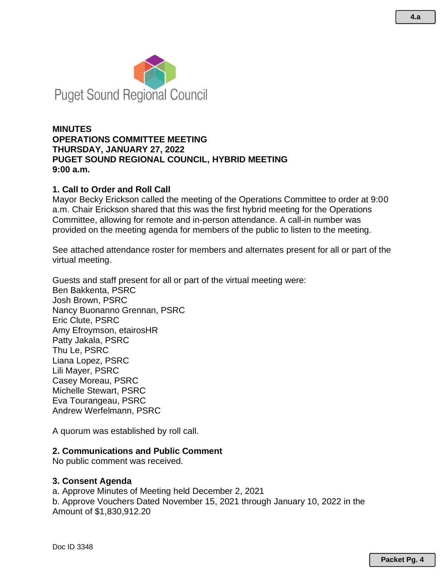

#### **MINUTES OPERATIONS COMMITTEE MEETING THURSDAY, JANUARY 27, 2022 PUGET SOUND REGIONAL COUNCIL, HYBRID MEETING 9:00 a.m.**

#### **1. Call to Order and Roll Call**

Mayor Becky Erickson called the meeting of the Operations Committee to order at 9:00 a.m. Chair Erickson shared that this was the first hybrid meeting for the Operations Committee, allowing for remote and in-person attendance. A call-in number was provided on the meeting agenda for members of the public to listen to the meeting.

See attached attendance roster for members and alternates present for all or part of the virtual meeting.

Guests and staff present for all or part of the virtual meeting were: Ben Bakkenta, PSRC Josh Brown, PSRC Nancy Buonanno Grennan, PSRC Eric Clute, PSRC Amy Efroymson, etairosHR Patty Jakala, PSRC Thu Le, PSRC Liana Lopez, PSRC Lili Mayer, PSRC Casey Moreau, PSRC Michelle Stewart, PSRC Eva Tourangeau, PSRC Andrew Werfelmann, PSRC

A quorum was established by roll call.

#### **2. Communications and Public Comment**

No public comment was received.

#### **3. Consent Agenda**

a. Approve Minutes of Meeting held December 2, 2021

b. Approve Vouchers Dated November 15, 2021 through January 10, 2022 in the Amount of \$1,830,912.20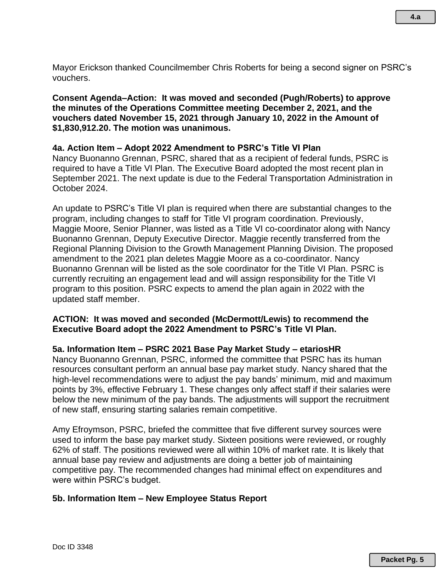Mayor Erickson thanked Councilmember Chris Roberts for being a second signer on PSRC's vouchers.

**Consent Agenda–Action: It was moved and seconded (Pugh/Roberts) to approve the minutes of the Operations Committee meeting December 2, 2021, and the vouchers dated November 15, 2021 through January 10, 2022 in the Amount of \$1,830,912.20. The motion was unanimous.**

#### **4a. Action Item – Adopt 2022 Amendment to PSRC's Title VI Plan**

Nancy Buonanno Grennan, PSRC, shared that as a recipient of federal funds, PSRC is required to have a Title VI Plan. The Executive Board adopted the most recent plan in September 2021. The next update is due to the Federal Transportation Administration in October 2024.

An update to PSRC's Title VI plan is required when there are substantial changes to the program, including changes to staff for Title VI program coordination. Previously, Maggie Moore, Senior Planner, was listed as a Title VI co-coordinator along with Nancy Buonanno Grennan, Deputy Executive Director. Maggie recently transferred from the Regional Planning Division to the Growth Management Planning Division. The proposed amendment to the 2021 plan deletes Maggie Moore as a co-coordinator. Nancy Buonanno Grennan will be listed as the sole coordinator for the Title VI Plan. PSRC is currently recruiting an engagement lead and will assign responsibility for the Title VI program to this position. PSRC expects to amend the plan again in 2022 with the updated staff member.

#### **ACTION: It was moved and seconded (McDermott/Lewis) to recommend the Executive Board adopt the 2022 Amendment to PSRC's Title VI Plan.**

#### **5a. Information Item – PSRC 2021 Base Pay Market Study – etariosHR**

Nancy Buonanno Grennan, PSRC, informed the committee that PSRC has its human resources consultant perform an annual base pay market study. Nancy shared that the high-level recommendations were to adjust the pay bands' minimum, mid and maximum points by 3%, effective February 1. These changes only affect staff if their salaries were below the new minimum of the pay bands. The adjustments will support the recruitment of new staff, ensuring starting salaries remain competitive.

Amy Efroymson, PSRC, briefed the committee that five different survey sources were used to inform the base pay market study. Sixteen positions were reviewed, or roughly 62% of staff. The positions reviewed were all within 10% of market rate. It is likely that annual base pay review and adjustments are doing a better job of maintaining competitive pay. The recommended changes had minimal effect on expenditures and were within PSRC's budget.

#### **5b. Information Item – New Employee Status Report**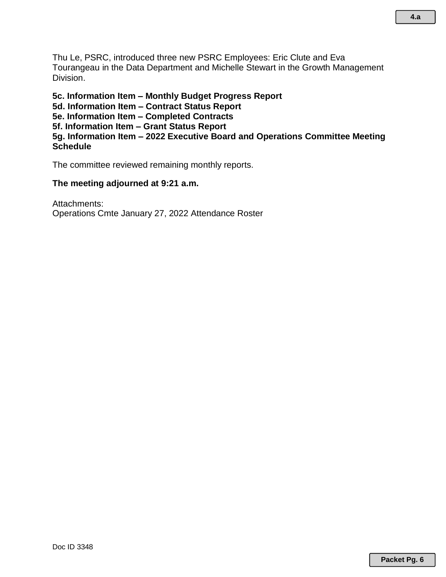Thu Le, PSRC, introduced three new PSRC Employees: Eric Clute and Eva Tourangeau in the Data Department and Michelle Stewart in the Growth Management Division.

**5c. Information Item – Monthly Budget Progress Report 5d. Information Item – Contract Status Report 5e. Information Item – Completed Contracts 5f. Information Item – Grant Status Report 5g. Information Item – 2022 Executive Board and Operations Committee Meeting Schedule**

The committee reviewed remaining monthly reports.

#### **The meeting adjourned at 9:21 a.m.**

Attachments: Operations Cmte January 27, 2022 Attendance Roster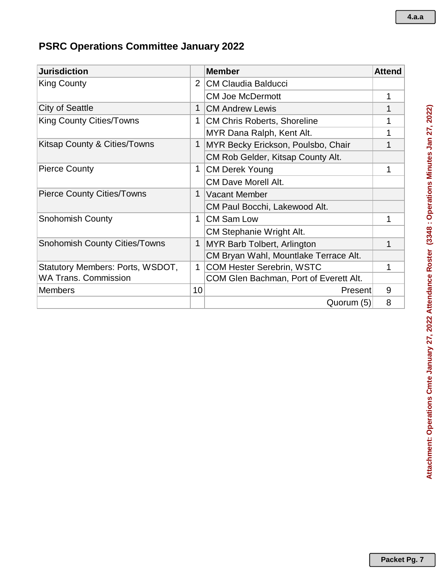## **PSRC Operations Committee January 2022**

| <b>Jurisdiction</b>                  |             | <b>Member</b>                          | <b>Attend</b> |
|--------------------------------------|-------------|----------------------------------------|---------------|
| <b>King County</b>                   |             | $\overline{2}$<br>CM Claudia Balducci  |               |
|                                      |             | <b>CM Joe McDermott</b>                | 1             |
| <b>City of Seattle</b>               | 1           | <b>CM Andrew Lewis</b>                 |               |
| <b>King County Cities/Towns</b>      | 1           | <b>CM Chris Roberts, Shoreline</b>     | 1             |
|                                      |             | MYR Dana Ralph, Kent Alt.              | 1             |
| Kitsap County & Cities/Towns         | 1           | MYR Becky Erickson, Poulsbo, Chair     |               |
|                                      |             | CM Rob Gelder, Kitsap County Alt.      |               |
| <b>Pierce County</b>                 |             | <b>CM Derek Young</b>                  |               |
|                                      |             | <b>CM Dave Morell Alt.</b>             |               |
| <b>Pierce County Cities/Towns</b>    |             | <b>Vacant Member</b>                   |               |
|                                      |             | CM Paul Bocchi, Lakewood Alt.          |               |
| <b>Snohomish County</b>              | 1           | <b>CM Sam Low</b>                      | 1             |
|                                      |             | CM Stephanie Wright Alt.               |               |
| <b>Snohomish County Cities/Towns</b> |             | MYR Barb Tolbert, Arlington            | 1             |
|                                      |             | CM Bryan Wahl, Mountlake Terrace Alt.  |               |
| Statutory Members: Ports, WSDOT,     | $\mathbf 1$ | <b>COM Hester Serebrin, WSTC</b>       | 1             |
| <b>WA Trans. Commission</b>          |             | COM Glen Bachman, Port of Everett Alt. |               |
| <b>Members</b>                       | 10          | Present                                | 9             |
|                                      |             | Quorum (5)                             | 8             |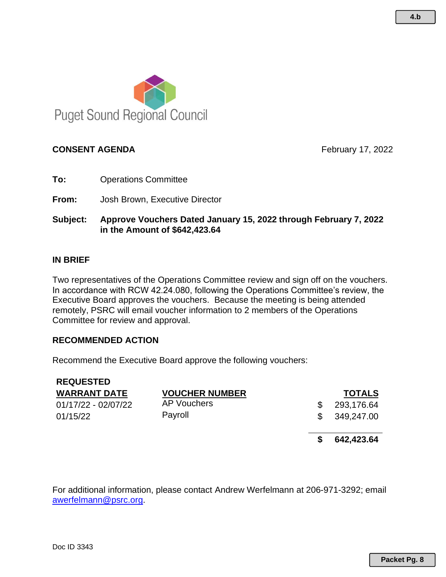

#### **CONSENT AGENDA February 17, 2022**

- **To:** Operations Committee
- **From:** Josh Brown, Executive Director
- **Subject: Approve Vouchers Dated January 15, 2022 through February 7, 2022 in the Amount of \$642,423.64**

#### **IN BRIEF**

Two representatives of the Operations Committee review and sign off on the vouchers. In accordance with RCW 42.24.080, following the Operations Committee's review, the Executive Board approves the vouchers. Because the meeting is being attended remotely, PSRC will email voucher information to 2 members of the Operations Committee for review and approval.

#### **RECOMMENDED ACTION**

Recommend the Executive Board approve the following vouchers:

| <b>REQUESTED</b>    |                       |    |               |
|---------------------|-----------------------|----|---------------|
| <b>WARRANT DATE</b> | <b>VOUCHER NUMBER</b> |    | <b>TOTALS</b> |
| 01/17/22 - 02/07/22 | AP Vouchers           |    | 293,176.64    |
| 01/15/22            | Payroll               | S. | 349,247.00    |
|                     |                       |    | 642,423.64    |

For additional information, please contact Andrew Werfelmann at 206-971-3292; email [awerfelmann@psrc.org.](mailto:awerfelmann@psrc.org)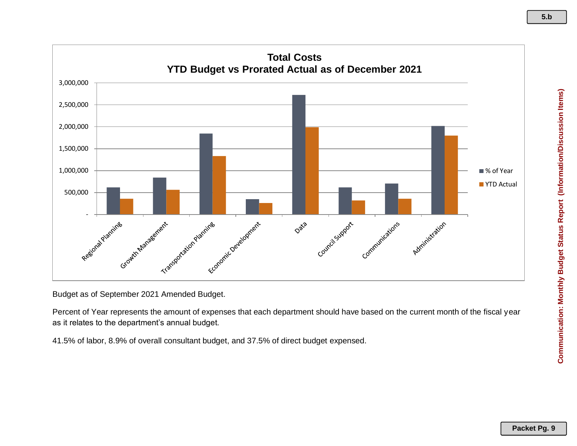

Budget as of September 2021 Amended Budget.

Percent of Year represents the amount of expenses that each department should have based on the current month of the fiscal year as it relates to the department's annual budget.

41.5% of labor, 8.9% of overall consultant budget, and 37.5% of direct budget expensed.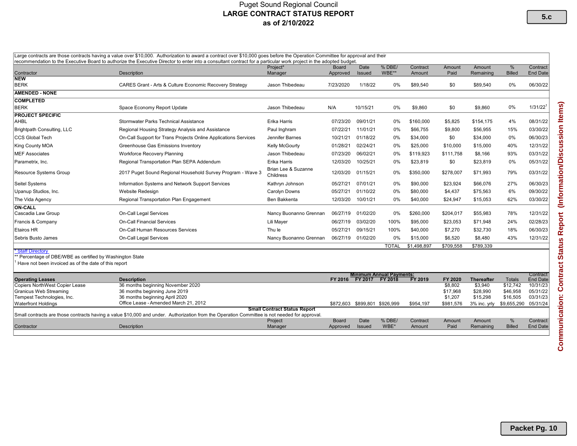#### Puget Sound Regional Council LARGE CONTRACT STATUS REPORT as of 2/10/2022

| Large contracts are those contracts having a value over \$10,000. Authorization to award a contract over \$10,000 goes before the Operation Committee for approval and their<br>recommendation to the Executive Board to authorize the Executive Director to enter into a consultant contract for a particular work project in the adopted budget. |                                                                                                                                               |                                     |                          |                               |                                            |                    |                                             |                                                 |                                                 |                                              |
|----------------------------------------------------------------------------------------------------------------------------------------------------------------------------------------------------------------------------------------------------------------------------------------------------------------------------------------------------|-----------------------------------------------------------------------------------------------------------------------------------------------|-------------------------------------|--------------------------|-------------------------------|--------------------------------------------|--------------------|---------------------------------------------|-------------------------------------------------|-------------------------------------------------|----------------------------------------------|
| Contractor                                                                                                                                                                                                                                                                                                                                         | <b>Description</b>                                                                                                                            | Project*<br>Manager                 | Board<br>Approved        | Date<br><b>Issued</b>         | % DBE/<br>WBE**                            | Contract<br>Amount | Amount<br>Paid                              | Amount<br>Remaining                             | %<br><b>Billed</b>                              | Contract<br><b>End Date</b>                  |
| <b>NEW</b><br><b>BERK</b>                                                                                                                                                                                                                                                                                                                          | <b>CARES Grant - Arts &amp; Culture Economic Recovery Strategy</b>                                                                            | Jason Thibedeau                     | 7/23/2020                | 1/18/22                       | $0\%$                                      | \$89,540           | \$0                                         | \$89,540                                        | 0%                                              | 06/30/22                                     |
| <b>AMENDED - NONE</b>                                                                                                                                                                                                                                                                                                                              |                                                                                                                                               |                                     |                          |                               |                                            |                    |                                             |                                                 |                                                 |                                              |
| <b>COMPLETED</b>                                                                                                                                                                                                                                                                                                                                   |                                                                                                                                               |                                     |                          |                               |                                            |                    |                                             |                                                 |                                                 |                                              |
| <b>BERK</b>                                                                                                                                                                                                                                                                                                                                        | Space Economy Report Update                                                                                                                   | Jason Thibedeau                     | N/A                      | 10/15/21                      | 0%                                         | \$9,860            | \$0                                         | \$9,860                                         | $0\%$                                           | 1/31/22                                      |
| <b>PROJECT SPECIFIC</b><br><b>AHBL</b>                                                                                                                                                                                                                                                                                                             | Stormwater Parks Technical Assistance                                                                                                         | Erika Harris                        | 07/23/20                 | 09/01/21                      | $0\%$                                      | \$160,000          | \$5,825                                     | \$154,175                                       | 4%                                              | 08/31/22                                     |
| Brightpath Consulting, LLC                                                                                                                                                                                                                                                                                                                         | Regional Housing Strategy Analysis and Assistance                                                                                             | Paul Inghram                        | 07/22/21                 | 11/01/21                      | $0\%$                                      | \$66,755           | \$9,800                                     | \$56,955                                        | 15%                                             | 03/30/22                                     |
| <b>CCS Global Tech</b>                                                                                                                                                                                                                                                                                                                             | On-Call Support for Trans Projects Online Applications Services                                                                               | Jennifer Barnes                     | 10/21/21                 | 01/18/22                      | $0\%$                                      | \$34,000           | \$0                                         | \$34,000                                        | $0\%$                                           | 06/30/23                                     |
| King County MOA                                                                                                                                                                                                                                                                                                                                    | Greenhouse Gas Emissions Inventory                                                                                                            | Kelly McGourty                      | 01/28/21                 | 02/24/21                      | $0\%$                                      | \$25,000           | \$10,000                                    | \$15,000                                        | 40%                                             | 12/31/22                                     |
| <b>MEF Associates</b>                                                                                                                                                                                                                                                                                                                              | <b>Workforce Recovery Planning</b>                                                                                                            | Jason Thibedeau                     | 07/23/20                 | 06/02/21                      | 0%                                         | \$119,923          | \$111,758                                   | \$8,166                                         | 93%                                             | 03/31/22                                     |
| Parametrix, Inc.                                                                                                                                                                                                                                                                                                                                   | Regional Transportation Plan SEPA Addendum                                                                                                    | Erika Harris                        | 12/03/20                 | 10/25/21                      | $0\%$                                      | \$23,819           | \$0                                         | \$23,819                                        | 0%                                              | 05/31/22                                     |
| <b>Resource Systems Group</b>                                                                                                                                                                                                                                                                                                                      | 2017 Puget Sound Regional Household Survey Program - Wave 3                                                                                   | Brian Lee & Suzanne<br>Childress    | 12/03/20                 | 01/15/21                      | 0%                                         | \$350,000          | \$278,007                                   | \$71,993                                        | 79%                                             | 03/31/22                                     |
| Seitel Systems                                                                                                                                                                                                                                                                                                                                     | Information Systems and Network Support Services                                                                                              | Kathryn Johnson                     | 05/27/21                 | 07/01/21                      | $0\%$                                      | \$90,000           | \$23,924                                    | \$66,076                                        | 27%                                             | 06/30/23                                     |
| Upanup Studios, Inc.                                                                                                                                                                                                                                                                                                                               | Website Redesign                                                                                                                              | Carolyn Downs                       | 05/27/21                 | 01/10/22                      | $0\%$                                      | \$80,000           | \$4,437                                     | \$75,563                                        | 6%                                              | 09/30/22                                     |
| The Vida Agency                                                                                                                                                                                                                                                                                                                                    | Regional Transportation Plan Engagement                                                                                                       | Ben Bakkenta                        | 12/03/20                 | 10/01/21                      | 0%                                         | \$40,000           | \$24,947                                    | \$15,053                                        | 62%                                             | 03/30/22                                     |
| <b>ON-CALL</b><br>Cascadia Law Group                                                                                                                                                                                                                                                                                                               | On-Call Legal Services                                                                                                                        | Nancy Buonanno Grennan              | 06/27/19                 | 01/02/20                      | $0\%$                                      | \$260,000          | \$204,017                                   | \$55,983                                        | 78%                                             | 12/31/22                                     |
| Francis & Company                                                                                                                                                                                                                                                                                                                                  | <b>On-Call Financial Services</b>                                                                                                             | Lili Mayer                          | 06/27/19                 | 03/02/20                      | 100%                                       | \$95,000           | \$23,053                                    | \$71,948                                        | 24%                                             | 02/28/23                                     |
| Etairos HR                                                                                                                                                                                                                                                                                                                                         | On-Call Human Resources Services                                                                                                              | Thu le                              | 05/27/21                 | 09/15/21                      | 100%                                       | \$40,000           | \$7,270                                     | \$32,730                                        | 18%                                             | 06/30/23                                     |
| Sebris Busto James                                                                                                                                                                                                                                                                                                                                 | <b>On-Call Legal Services</b>                                                                                                                 | Nancy Buonanno Grennan              | 06/27/19                 | 01/02/20                      | $0\%$                                      | \$15,000           | \$6,520                                     | \$8,480                                         | 43%                                             | 12/31/22                                     |
|                                                                                                                                                                                                                                                                                                                                                    |                                                                                                                                               |                                     |                          |                               | <b>TOTAL</b>                               | \$1,498,897        | \$709,558                                   | \$789,339                                       |                                                 |                                              |
| <b>Staff Directory</b><br>** Percentage of DBE/WBE as certified by Washington State<br>Have not been invoiced as of the date of this report                                                                                                                                                                                                        |                                                                                                                                               |                                     |                          |                               |                                            |                    |                                             |                                                 |                                                 |                                              |
| <b>Operating Leases</b>                                                                                                                                                                                                                                                                                                                            | <b>Description</b>                                                                                                                            |                                     | FY 2016                  | FY 2017                       | <b>Minimum Annual Payments:</b><br>FY 2018 | <b>FY 2019</b>     | FY 2020                                     | <b>Thereafter</b>                               | <b>Totals</b>                                   | Contract<br><b>End Date</b>                  |
| <b>Copiers NorthWest Copier Lease</b><br>Granicus Web Streaming<br>Tempest Technologies, Inc.<br><b>Waterfront Holdings</b>                                                                                                                                                                                                                        | 36 months beginning November 2020<br>36 months beginning June 2019<br>36 months beginning April 2020<br>Office Lease - Amended March 21, 2012 |                                     |                          | \$872,603 \$899,801 \$926,999 |                                            | \$954,197          | \$8,802<br>\$17,968<br>\$1,207<br>\$981,576 | \$3,940<br>\$28,990<br>\$15,298<br>3% inc. yrly | \$12,742<br>\$46,958<br>\$16,505<br>\$9,655,290 | 10/31/23<br>05/31/22<br>03/31/23<br>05/31/24 |
|                                                                                                                                                                                                                                                                                                                                                    | Small contracts are those contracts having a value \$10,000 and under. Authorization from the Operation Committee is not needed for approval. | <b>Small Contract Status Report</b> |                          |                               |                                            |                    |                                             |                                                 |                                                 |                                              |
| Contractor                                                                                                                                                                                                                                                                                                                                         | <b>Description</b>                                                                                                                            | Project<br>Manager                  | <b>Board</b><br>Approved | Date<br><b>Issued</b>         | % DBE/<br>WBE*                             | Contract<br>Amount | Amount<br>Paid                              | Amount<br>Remaining                             | %<br><b>Billed</b>                              | Contract<br>End Date                         |

**5.c**

**Packet Pg. 10**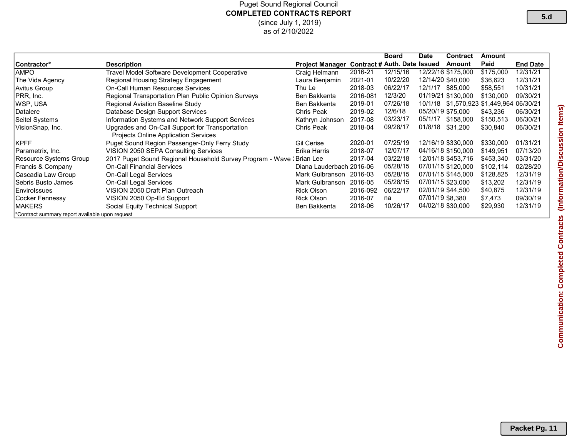#### Puget Sound Regional Council COMPLETED CONTRACTS REPORT (since July 1, 2019) as of 2/10/2022

|                                                |                                                                       |                          |                                     | <b>Board</b> | <b>Date</b>      | Contract                         | Amount    |                 |
|------------------------------------------------|-----------------------------------------------------------------------|--------------------------|-------------------------------------|--------------|------------------|----------------------------------|-----------|-----------------|
| Contractor*                                    | <b>Description</b>                                                    | <b>Project Manager</b>   | <b>Contract # Auth. Date Issued</b> |              |                  | Amount                           | Paid      | <b>End Date</b> |
| AMPO                                           | Travel Model Software Development Cooperative                         | Craig Helmann            | 2016-21                             | 12/15/16     |                  | 12/22/16 \$175,000               | \$175,000 | 12/31/21        |
| The Vida Agency                                | Regional Housing Strategy Engagement                                  | Laura Benjamin           | 2021-01                             | 10/22/20     |                  | 12/14/20 \$40,000                | \$36,623  | 12/31/21        |
| Avitus Group                                   | On-Call Human Resources Services                                      | Thu Le                   | 2018-03                             | 06/22/17     | 12/1/17          | \$85,000                         | \$58,551  | 10/31/21        |
| PRR, Inc.                                      | <b>Regional Transportation Plan Public Opinion Surveys</b>            | Ben Bakkenta             | 2016-081                            | 12/3/20      |                  | 01/19/21 \$130,000               | \$130,000 | 09/30/21        |
| WSP. USA                                       | Regional Aviation Baseline Study                                      | Ben Bakkenta             | 2019-01                             | 07/26/18     | 10/1/18          | \$1,570,923 \$1,449,964 06/30/21 |           |                 |
| Datalere                                       | Database Design Support Services                                      | Chris Peak               | 2019-02                             | 12/6/18      |                  | 05/20/19 \$75.000                | \$43,236  | 06/30/21        |
| Seitel Systems                                 | Information Systems and Network Support Services                      | Kathryn Johnson          | 2017-08                             | 03/23/17     | 05/1/17          | \$158,000                        | \$150,513 | 06/30/21        |
| VisionSnap, Inc.                               | Upgrades and On-Call Support for Transportation                       | Chris Peak               | 2018-04                             | 09/28/17     | 01/8/18          | \$31.200                         | \$30,840  | 06/30/21        |
|                                                | Projects Online Application Services                                  |                          |                                     |              |                  |                                  |           |                 |
| <b>KPFF</b>                                    | Puget Sound Region Passenger-Only Ferry Study                         | <b>Gil Cerise</b>        | 2020-01                             | 07/25/19     |                  | 12/16/19 \$330.000               | \$330,000 | 01/31/21        |
| Parametrix, Inc.                               | VISION 2050 SEPA Consulting Services                                  | Erika Harris             | 2018-07                             | 12/07/17     |                  | 04/16/18 \$150,000               | \$149,951 | 07/13/20        |
| Resource Systems Group                         | 2017 Puget Sound Regional Household Survey Program - Wave : Brian Lee |                          | 2017-04                             | 03/22/18     |                  | 12/01/18 \$453.716               | \$453,340 | 03/31/20        |
| Francis & Company                              | <b>On-Call Financial Services</b>                                     | Diana Lauderbach 2016-06 |                                     | 05/28/15     |                  | 07/01/15 \$120,000               | \$102,114 | 02/28/20        |
| Cascadia Law Group_                            | On-Call Legal Services                                                | Mark Gulbranson          | 2016-03                             | 05/28/15     |                  | 07/01/15 \$145,000               | \$128,825 | 12/31/19        |
| lSebris Busto James                            | On-Call Legal Services                                                | Mark Gulbranson          | 2016-05                             | 05/28/15     |                  | 07/01/15 \$23,000                | \$13,202  | 12/31/19        |
| Envirolssues                                   | VISION 2050 Draft Plan Outreach                                       | <b>Rick Olson</b>        | 2016-092                            | 06/22/17     |                  | 02/01/19 \$44.500                | \$40,875  | 12/31/19        |
| Cocker Fennessy                                | VISION 2050 Op-Ed Support                                             | <b>Rick Olson</b>        | 2016-07                             | na           | 07/01/19 \$8.380 |                                  | \$7,473   | 09/30/19        |
| MAKERS                                         | Social Equity Technical Support                                       | <b>Ben Bakkenta</b>      | 2018-06                             | 10/26/17     |                  | 04/02/18 \$30,000                | \$29,930  | 12/31/19        |
| Contract summary report available upon request |                                                                       |                          |                                     |              |                  |                                  |           |                 |